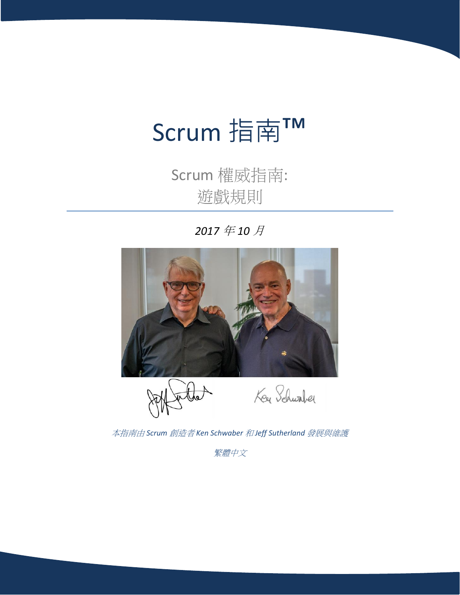# Scrum 指南™

Scrum 權威指南: 遊戲規則

*2017* 年 *10* 月



本指南由 *Scrum* 創造者 *Ken Schwaber* 和 *Jeff Sutherland* 發展與維護

繁體中文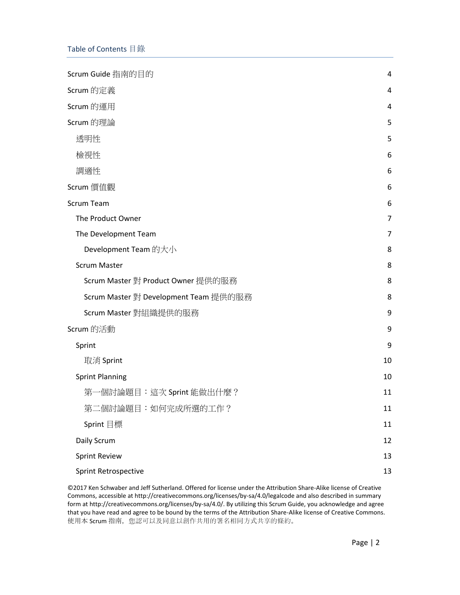| Scrum Guide 指南的目的                     | 4              |
|---------------------------------------|----------------|
| Scrum 的定義                             | 4              |
| Scrum 的運用                             | 4              |
| Scrum 的理論                             | 5              |
| 透明性                                   | 5              |
| 檢視性                                   | 6              |
| 調適性                                   | 6              |
| Scrum 價值觀                             | 6              |
| <b>Scrum Team</b>                     | 6              |
| The Product Owner                     | 7              |
| The Development Team                  | $\overline{7}$ |
| Development Team 的大小                  | 8              |
| <b>Scrum Master</b>                   | 8              |
| Scrum Master 對 Product Owner 提供的服務    | 8              |
| Scrum Master 對 Development Team 提供的服務 | 8              |
| Scrum Master 對組織提供的服務                 | 9              |
| Scrum 的活動                             | 9              |
| Sprint                                | 9              |
| 取消 Sprint                             | 10             |
| <b>Sprint Planning</b>                | 10             |
| 第一個討論題目:這次 Sprint 能做出什麼?              | 11             |
| 第二個討論題目:如何完成所選的工作?                    | 11             |
| Sprint 目標                             | 11             |
| Daily Scrum                           | 12             |
| <b>Sprint Review</b>                  | 13             |
| <b>Sprint Retrospective</b>           | 13             |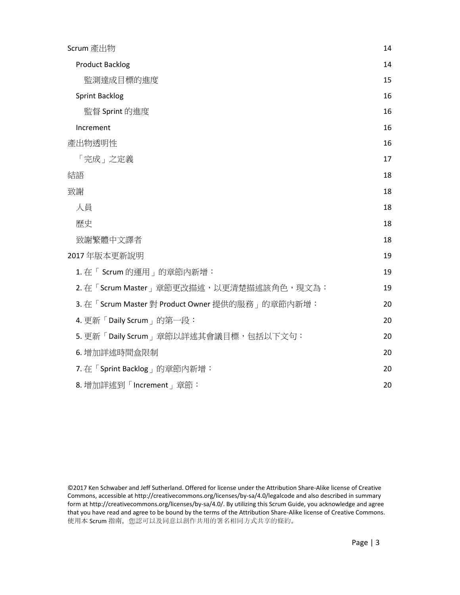| Scrum 產出物                                         | 14 |
|---------------------------------------------------|----|
| <b>Product Backlog</b>                            | 14 |
| 監測達成目標的進度                                         | 15 |
| <b>Sprint Backlog</b>                             | 16 |
| 監督 Sprint 的進度                                     | 16 |
| Increment                                         | 16 |
| 產出物透明性                                            | 16 |
| 「完成」之定義                                           | 17 |
| 結語                                                | 18 |
| 致謝                                                | 18 |
| 人員                                                | 18 |
| 歷史                                                | 18 |
| 致謝繁體中文譯者                                          | 18 |
| 2017年版本更新說明                                       | 19 |
| 1. 在「Scrum 的運用」的章節內新增:                            | 19 |
| 2. 在「Scrum Master」章節更改描述, 以更清楚描述該角色, 現文為:         | 19 |
| 3. 在「Scrum Master 對 Product Owner 提供的服務   的章節內新增: | 20 |
| 4. 更新「Daily Scrum 」 的第一段:                         | 20 |
| 5. 更新「Daily Scrum」章節以詳述其會議目標,包括以下文句:              | 20 |
| 6. 增加詳述時間盒限制                                      | 20 |
| 7. 在「Sprint Backlog」的章節內新增:                       | 20 |
| 8. 增加詳述到「Increment」章節:                            | 20 |

<sup>©2017</sup> Ken Schwaber and Jeff Sutherland. Offered for license under the Attribution Share-Alike license of Creative Commons, accessible at http://creativecommons.org/licenses/by-sa/4.0/legalcode and also described in summary form at http://creativecommons.org/licenses/by-sa/4.0/. By utilizing this Scrum Guide, you acknowledge and agree that you have read and agree to be bound by the terms of the Attribution Share-Alike license of Creative Commons. 使用本 Scrum 指南,您認可以及同意以創作共用的署名相同方式共享的條約。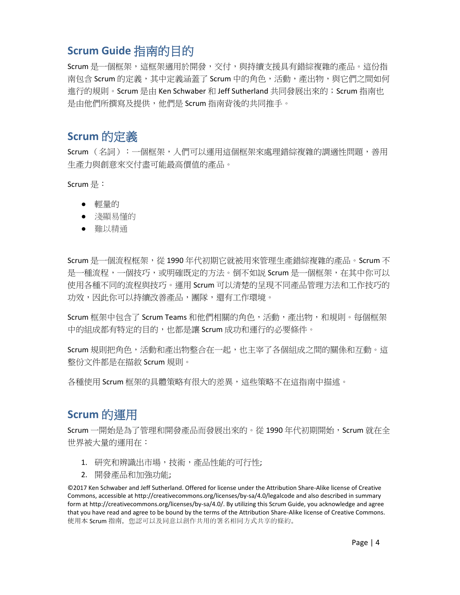# <span id="page-3-0"></span>**Scrum Guide** 指南的目的

Scrum 是一個框架,這框架適用於開發,交付,與持續支援具有錯綜複雜的產品。這份指 南包含 Scrum 的定義,其中定義涵蓋了 Scrum 中的角色,活動,產出物,與它們之間如何 進行的規則。Scrum 是由 Ken Schwaber 和 Jeff Sutherland 共同發展出來的;Scrum 指南也 是由他們所撰寫及提供,他們是 Scrum 指南背後的共同推手。

# <span id="page-3-1"></span>**Scrum** 的定義

Scrum (名詞):一個框架,人們可以運用這個框架來處理錯綜複雜的調適性問題,善用 生產力與創意來交付盡可能最高價值的產品。

Scrum 是:

- 輕量的
- 淺顯易懂的
- 難以精通

Scrum 是一個流程框架,從 1990 年代初期它就被用來管理生產錯綜複雜的產品。Scrum 不 是一種流程,一個技巧,或明確既定的方法。倒不如説 Scrum 是一個框架,在其中你可以 使用各種不同的流程與技巧。運用 Scrum 可以清楚的呈現不同產品管理方法和工作技巧的 功效,因此你可以持續改善產品,團隊,還有工作環境。

Scrum 框架中包含了 Scrum Teams 和他們相關的角色,活動,產出物,和規則。每個框架 中的組成都有特定的目的,也都是讓 Scrum 成功和運行的必要條件。

Scrum 規則把角色,活動和產出物整合在一起,也主宰了各個組成之間的關係和互動。這 整份文件都是在描敘 Scrum 規則。

各種使用 Scrum 框架的具體策略有很大的差異,這些策略不在這指南中描述。

# <span id="page-3-2"></span>**Scrum** 的運用

Scrum 一開始是為了管理和開發產品而發展出來的。從 1990 年代初期開始, Scrum 就在全 世界被大量的運用在:

- 1. 研究和辨識出市場,技術,產品性能的可行性;
- 2. 開發產品和加強功能;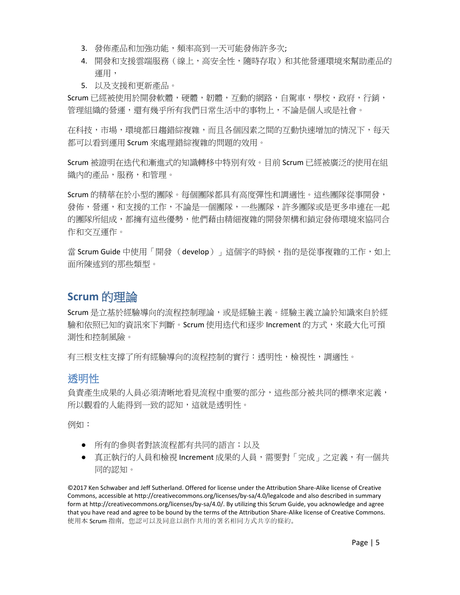- 3. 發佈產品和加強功能,頻率高到一天可能發佈許多次;
- 4. 開發和支援雲端服務(線上,高安全性,隨時存取)和其他營運環境來幫助產品的 運用,
- 5. 以及支援和更新產品。

Scrum 已經被使用於開發軟體,硬體,韌體,互動的網路,自駕車,學校,政府,行銷, 管理組織的營運,還有幾乎所有我們日常生活中的事物上,不論是個人或是社會。

在科技,市場,環境都日趨錯綜複雜,而且各個因素之間的互動快速增加的情況下,每天 都可以看到運用 Scrum 來處理錯綜複雜的問題的效用。

Scrum 被證明在迭代和漸進式的知識轉移中特別有效。目前 Scrum 已經被廣泛的使用在組 織內的產品,服務,和管理。

Scrum 的精華在於小型的團隊。每個團隊都具有高度彈性和調適性。這些團隊從事開發, 發佈,營運,和支援的工作,不論是一個團隊,一些團隊,許多團隊或是更多串連在一起 的團隊所組成,都擁有這些優勢,他們藉由精細複雜的開發架構和鎖定發佈環境來協同合 作和交互運作。

當 Scrum Guide 中使用「開發 (develop)」這個字的時候,指的是從事複雜的工作,如上 面所陳述到的那些類型。

## <span id="page-4-0"></span>**Scrum** 的理論

Scrum 是立基於經驗導向的流程控制理論,或是經驗主義。經驗主義立論於知識來自於經 驗和依照已知的資訊來下判斷。Scrum 使用迭代和逐步 Increment 的方式,來最大化可預 測性和控制風險。

有三根支柱支撐了所有經驗導向的流程控制的實行:透明性,檢視性,調適性。

#### <span id="page-4-1"></span>透明性

負責產生成果的人員必須清晰地看見流程中重要的部分,這些部分被共同的標準來定義, 所以觀看的人能得到一致的認知,這就是透明性。

例如:

- 所有的參與者對該流程都有共同的語言;以及
- 真正執行的人員和檢視 Increment 成果的人員,需要對「完成」之定義,有一個共 同的認知。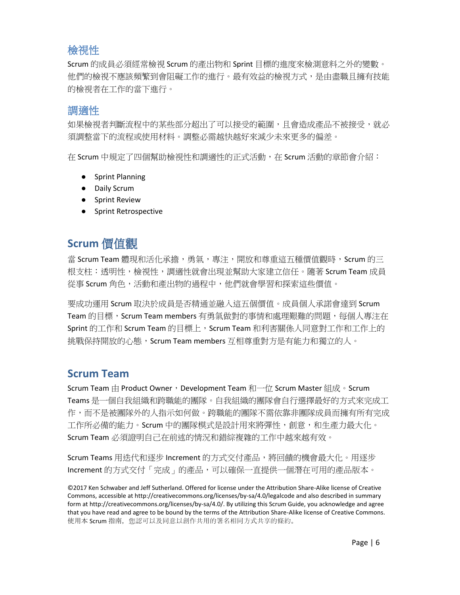## <span id="page-5-0"></span>檢視性

Scrum 的成員必須經常檢視 Scrum 的產出物和 Sprint 目標的進度來檢測意料之外的變數。 他們的檢視不應該頻繁到會阻礙工作的進行。最有效益的檢視方式,是由盡職且擁有技能 的檢視者在工作的當下進行。

#### <span id="page-5-1"></span>調適性

如果檢視者判斷流程中的某些部分超出了可以接受的範圍,且會會造成產品不被接受,就必 須調整當下的流程或使用材料。調整必需越快越好來減少未來更多的偏差。

在 Scrum 中規定了四個幫助檢視性和調適性的正式活動,在 Scrum 活動的章節會介紹:

- Sprint Planning
- Daily Scrum
- Sprint Review
- Sprint Retrospective

# <span id="page-5-2"></span>**Scrum** 價值觀

當 Scrum Team 體現和活化承擔,勇氣,專注,開放和尊重這五種價值觀時,Scrum 的三 根支柱:透明性,檢視性,調適性就會出現並幫助大家建立信任。隨著 Scrum Team 成員 從事 Scrum 角色,活動和產出物的過程中,他們就會學習和探索這些價值。

要成功運用 Scrum 取決於成員是否精通並融入這五個價值。成員個人承諾會達到 Scrum Team 的目標,Scrum Team members 有勇氣做對的事情和處理艱難的問題,每個人專注在 Sprint 的工作和 Scrum Team 的目標上,Scrum Team 和利害關係人同意對工作和工作上的 挑戰保持開放的心態,Scrum Team members 互相尊重對方是有能力和獨立的人。

# <span id="page-5-3"></span>**Scrum Team**

Scrum Team 由 Product Owner, Development Team 和一位 Scrum Master 組成。Scrum Teams 是一個自我組織和跨職能的團隊。自我組織的團隊會自行選擇最好的方式來完成工 作,而不是被團隊外的人指示如何做。跨職能的團隊不需依靠非團隊成員而擁有所有完成 工作所必備的能力。Scrum 中的團隊模式是設計用來將彈性,創意,和生產力最大化。 Scrum Team 必須證明自己在前述的情況和錯綜複雜的工作中越來越有效。

Scrum Teams 用迭代和逐步 Increment 的方式交付產品,將回饋的機會最大化。用逐步 Increment 的方式交付「完成」的產品,可以確保一直提供一個潛在可用的產品版本。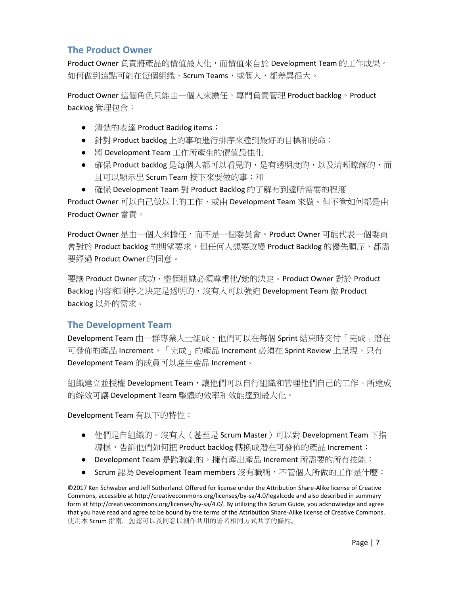#### <span id="page-6-0"></span>**The Product Owner**

Product Owner 負責將產品的價值最大化,而價值來自於 Development Team 的工作成果。 如何做到這點可能在每個組織, Scrum Teams, 或個人, 都差異很大。

Product Owner 這個角色只能由一個人來擔任,專門負責管理 Product backlog。Product backlog 管理包含:

- 清楚的表達 Product Backlog items;
- 針對 Product backlog 上的事項進行排序來達到最好的目標和使命;
- 將 Development Team 工作所產生的價值最佳化
- 確保 Product backlog 是每個人都可以看見的,是有透明度的,以及清晰瞭解的,而 且可以顯示出 Scrum Team 接下來要做的事;和
- 確保 Development Team 對 Product Backlog 的了解有到達所需要的程度

Product Owner 可以自己做以上的工作,或由 Development Team 來做。但不管如何都是由 Product Owner 當責。

Product Owner 是由一個人來擔任,而不是一個委員會。Product Owner 可能代表一個委員 會對於 Product backlog 的期望要求,但任何人想要改變 Product Backlog 的優先順序,都需 要經過 Product Owner 的同意。

要讓 Product Owner 成功,整個組織必須尊重他/她的決定。Product Owner 對於 Product Backlog 內容和順序之決定是透明的,沒有人可以強迫 Development Team 做 Product backlog 以外的需求。

#### <span id="page-6-1"></span>**The Development Team**

Development Team 由一群專業人士組成,他們可以在每個 Sprint 結束時交付「完成」潛在 可發佈的產品 Increment。「完成」的產品 Increment 必須在 Sprint Review 上呈現。只有 Development Team 的成員可以產生產品 Increment。

組織建立並授權 Development Team,讓他們可以自行組織和管理他們自己的工作。所達成 的綜效可讓 Development Team 整體的效率和效能達到最大化。

Development Team 有以下的特性:

- 他們是自組織的。沒有人(甚至是 Scrum Master)可以對 Development Team 下指 導棋,告訴他們如何把 Product backlog 轉換成潛在可發佈的產品 Increment;
- Development Team 是跨職能的,擁有產出產品 Increment 所需要的所有技能;
- Scrum 認為 Development Team members 沒有職稱,不管個人所做的工作是什麼;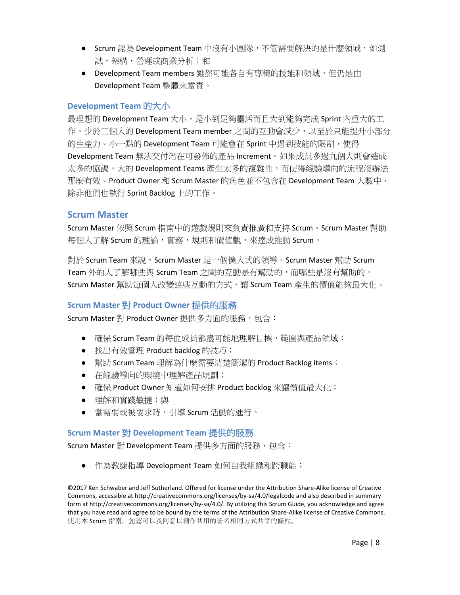- Scrum 認為 Development Team 中沒有小團隊,不管需要解決的是什麼領域,如測 試,架構,營運或商業分析;和
- Development Team members 雖然可能各自有專精的技能和領域,但仍是由 Development Team 整體來當責。

#### <span id="page-7-0"></span>**Development Team** 的大小

最理想的 Development Team 大小,是小到足夠靈活而且大到能夠完成 Sprint 內重大的工 作。少於三個人的 Development Team member 之間的互動會減少,以至於只能提升小部分 的生產力。小一點的 Development Team 可能會在 Sprint 中遇到技能的限制,使得 Development Team 無法交付潛在可發佈的產品 Increment。如果成員多過九個人則會造成 太多的協調。大的 Development Teams 產生太多的複雜性,而使得經驗導向的流程沒辦法 那麼有效。Product Owner 和 Scrum Master 的角色並不包含在 Development Team 人數中, 除非他們也執行 Sprint Backlog 上的工作。

#### <span id="page-7-1"></span>**Scrum Master**

Scrum Master 依照 Scrum 指南中的遊戲規則來負責推廣和支持 Scrum。Scrum Master 幫助 每個人了解 Scrum 的理論,實務,規則和價值觀,來達成推動 Scrum。

對於 Scrum Team 來說,Scrum Master 是一個僕人式的領導。Scrum Master 幫助 Scrum Team 外的人了解哪些與 Scrum Team 之間的互動是有幫助的, 而哪些是沒有幫助的。 Scrum Master 幫助每個人改變這些互動的方式,讓 Scrum Team 產生的價值能夠最大化。

#### <span id="page-7-2"></span>**Scrum Master** 對 **Product Owner** 提供的服務

Scrum Master 對 Product Owner 提供多方面的服務,包含:

- 確保 Scrum Team 的每位成員都盡可能地理解目標,範圍與產品領域;
- 找出有效管理 Product backlog 的技巧;
- 幫助 Scrum Team 理解為什麼需要清楚簡潔的 Product Backlog items;
- 在經驗導向的環境中理解產品規劃;
- 確保 Product Owner 知道如何安排 Product backlog 來讓價值最大化;
- 理解和實踐敏捷;與
- 當需要或被要求時,引導 Scrum 活動的進行。

#### <span id="page-7-3"></span>**Scrum Master** 對 **Development Team** 提供的服務

Scrum Master 對 Development Team 提供多方面的服務,包含:

● 作為教練指導 Development Team 如何自我組織和跨職能;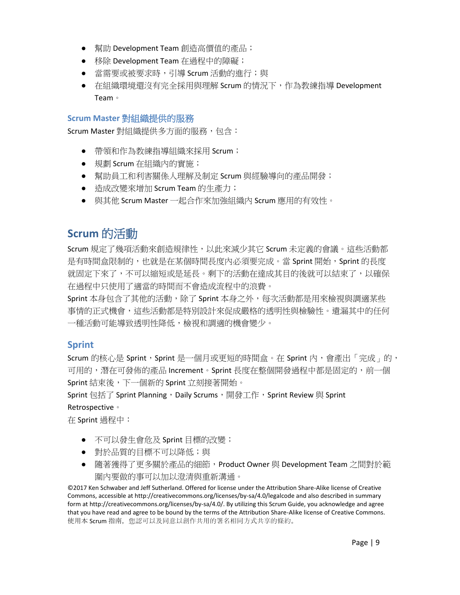- 幫助 Development Team 創造高價值的產品;
- 移除 Development Team 在過程中的障礙;
- 當需要或被要求時,引導 Scrum 活動的進行;與
- 在組織環境還沒有完全採用與理解 Scrum 的情況下,作為教練指導 Development Team。

#### <span id="page-8-0"></span>**Scrum Master** 對組織提供的服務

Scrum Master 對組織提供多方面的服務,包含:

- 帶領和作為教練指導組織來採用 Scrum;
- 規劃 Scrum 在組織內的實施;
- 幫助員工和利害關係人理解及制定 Scrum 與經驗導向的產品開發;
- 造成改變來增加 Scrum Team 的生產力;
- 與其他 Scrum Master 一起合作來加強組織內 Scrum 應用的有效性。

# <span id="page-8-1"></span>**Scrum** 的活動

Scrum 規定了幾項活動來創造規律性,以此來減少其它 Scrum 未定義的會議。這些活動都 是有時間盒限制的,也就是在某個時間長度內必須要完成。當 Sprint 開始, Sprint 的長度 就固定下來了,不可以縮短或是延長。剩下的活動在達成其目的後就可以結束了,以確保 在過程中只使用了適當的時間而不會造成流程中的浪費。

Sprint 本身包含了其他的活動,除了 Sprint 本身之外,每次活動都是用來檢視與調適某些 事情的正式機會,這些活動都是特別設計來促成嚴格的透明性與檢驗性。遺漏其中的任何 一種活動可能導致透明性降低,檢視和調適的機會變少。

#### <span id="page-8-2"></span>**Sprint**

Scrum 的核心是 Sprint, Sprint 是一個月或更短的時間盒。在 Sprint 內,會產出「完成」的, 可用的,潛在可發佈的產品 Increment。Sprint 長度在整個開發過程中都是固定的,前一個 Sprint 結束後,下一個新的 Sprint 立刻接著開始。

Sprint 包括了 Sprint Planning,Daily Scrums,開發工作,Sprint Review 與 Sprint

#### Retrospective。

在 Sprint 過程中:

- 不可以發生會危及 Sprint 目標的改變;
- 對於品質的目標不可以降低;與
- 隨著獲得了更多關於產品的細節, Product Owner 與 Development Team 之間對於範 圍內要做的事可以加以澄清與重新溝通。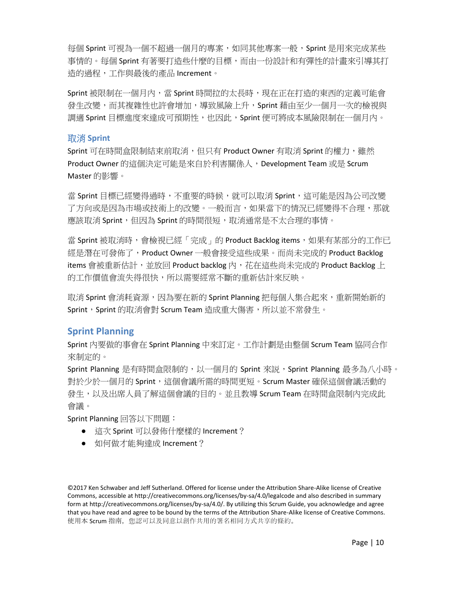每個 Sprint 可視為一個不超過一個月的專案,如同其他專案一般,Sprint 是用來完成某些 事情的。每個 Sprint 有著要打造些什麼的目標,而由一份設計和有彈性的計畫來引導其打 造的過程,工作與最後的產品 Increment。

Sprint 被限制在一個月內,當 Sprint 時間拉的太長時,現在正在打造的東西的定義可能會 發生改變,而其複雜性也許會增加,導致風險上升,Sprint 藉由至少一個月一次的檢視與 調適 Sprint 目標進度來達成可預期性,也因此,Sprint 便可將成本風險限制在一個月內。

#### <span id="page-9-0"></span>取消 **Sprint**

Sprint 可在時間盒限制結束前取消,但只有 Product Owner 有取消 Sprint 的權力,雖然 Product Owner 的這個決定可能是來自於利害關係人, Development Team 或是 Scrum Master 的影響。

當 Sprint 目標已經變得過時,不重要的時候,就可以取消 Sprint,這可能是因為公司改變 了方向或是因為市場或技術上的改變。一般而言,如果當下的情況已經變得不合理,那就 應該取消 Sprint,但因為 Sprint 的時間很短,取消通常是不太合理的事情。

當 Sprint 被取消時,會檢視已經「完成」的 Product Backlog items,如果有某部分的工作已 經是潛在可發佈了,Product Owner 一般會接受這些成果。而尚未完成的 Product Backlog items 會被重新估計,並放回 Product backlog 内,花在這些尚未完成的 Product Backlog 上 的工作價值會流失得很快,所以需要經常不斷的重新估計來反映。

取消 Sprint 會消耗資源,因為要在新的 Sprint Planning 把每個人集合起來,重新開始新的 Sprint, Sprint 的取消會對 Scrum Team 造成重大傷害, 所以並不常發生。

#### <span id="page-9-1"></span>**Sprint Planning**

Sprint 內要做的事會在 Sprint Planning 中來訂定。工作計劃是由整個 Scrum Team 協同合作 來制定的。

Sprint Planning 是有時間盒限制的,以一個月的 Sprint 來説,Sprint Planning 最多為八小時。 對於少於一個月的 Sprint,這個會議所需的時間更短。Scrum Master 確保這個會議活動的 發生,以及出席人員了解這個會議的目的。並且教導 Scrum Team 在時間盒限制內完成此 會議。

Sprint Planning 回答以下問題:

- 這次 Sprint 可以發佈什麼樣的 Increment?
- 如何做才能夠達成 Increment?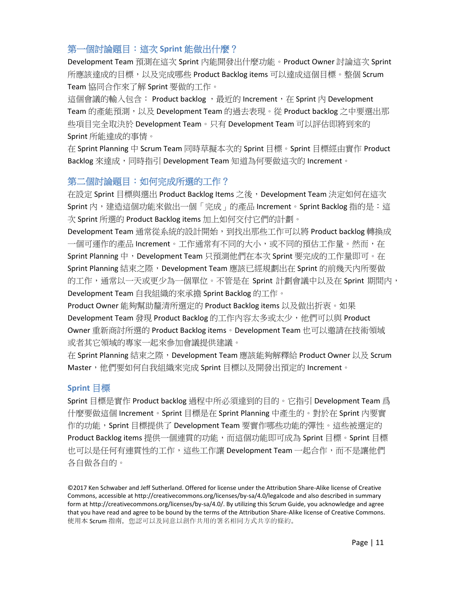#### <span id="page-10-0"></span>第一個討論題目:這次 **Sprint** 能做出什麼?

Development Team 預測在這次 Sprint 內能開發出什麼功能。Product Owner 討論這次 Sprint 所應該達成的目標,以及完成哪些 Product Backlog items 可以達成這個目標。整個 Scrum Team 協同合作來了解 Sprint 要做的工作。

這個會議的輸入包含: Product backlog, 最近的 Increment, 在 Sprint 內 Development Team 的產能預測,以及 Development Team 的過去表現。從 Product backlog 之中要選出那 些項目完全取決於 Development Team。只有 Development Team 可以評估即將到來的 Sprint 所能達成的事情。

在 Sprint Planning 中 Scrum Team 同時草擬本次的 Sprint 目標。Sprint 目標經由實作 Product Backlog 來達成,同時指引 Development Team 知道為何要做這次的 Increment。

#### <span id="page-10-1"></span>第二個討論題目:如何完成所選的工作?

在設定 Sprint 目標與選出 Product Backlog Items 之後, Development Team 決定如何在這次 Sprint 內,建造這個功能來做出一個「完成」的產品 Increment。Sprint Backlog 指的是:這 次 Sprint 所選的 Product Backlog items 加上如何交付它們的計劃。

Development Team 通常從系統的設計開始, 到找出那些工作可以將 Product backlog 轉換成 一個可運作的產品 Increment。工作通常有不同的大小,或不同的預估工作量。然而,在 Sprint Planning 中, Development Team 只預測他們在本次 Sprint 要完成的工作量即可。在 Sprint Planning 結束之際, Development Team 應該已經規劃出在 Sprint 的前幾天內所要做 的工作,通常以一天或更少為一個單位。不管是在 Sprint 計劃會議中以及在 Sprint 期間內, Development Team 自我組織的來承擔 Sprint Backlog 的工作。

Product Owner 能夠幫助釐清所選定的 Product Backlog items 以及做出折衷。如果 Development Team 發現 Product Backlog 的工作內容太多或太少, 他們可以與 Product Owner 重新商討所選的 Product Backlog items。Development Team 也可以邀請在技術領域 或者其它領域的專家一起來參加會議提供建議。

在 Sprint Planning 結束之際, Development Team 應該能夠解釋給 Product Owner 以及 Scrum Master,他們要如何自我組織來完成 Sprint 目標以及開發出預定的 Increment。

#### <span id="page-10-2"></span>**Sprint** 目標

Sprint 目標是實作 Product backlog 過程中所必須達到的目的。它指引 Development Team 爲 什麼要做這個 Increment。Sprint 目標是在 Sprint Planning 中產生的。對於在 Sprint 內要實 作的功能, Sprint 目標提供了 Development Team 要實作哪些功能的彈性。這些被選定的 Product Backlog items 提供一個連貫的功能,而這個功能即可成為 Sprint 目標。Sprint 目標 也可以是任何有連貫性的工作,這些工作讓 Development Team 一起合作,而不是讓他們 各自做各自的。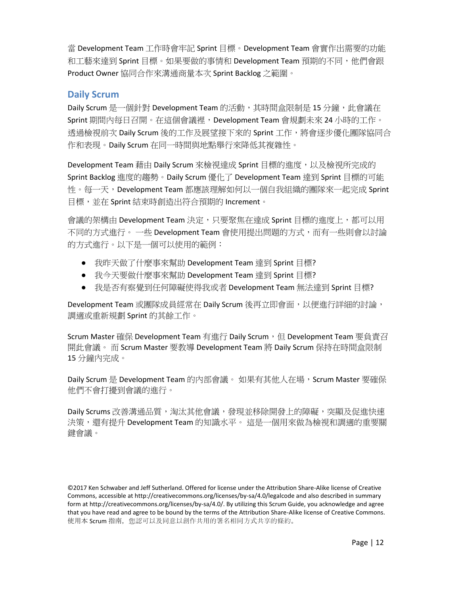當 Development Team 工作時會牢記 Sprint 目標。Development Team 會實作出需要的功能 和工藝來達到 Sprint 目標。如果要做的事情和 Development Team 預期的不同,他們會跟 Product Owner 協同合作來溝通商量本次 Sprint Backlog 之範圍。

#### <span id="page-11-0"></span>**Daily Scrum**

Daily Scrum 是一個針對 Development Team 的活動, 其時間盒限制是 15 分鐘, 此會議在 Sprint 期間內每日召開。在這個會議裡,Development Team 會規劃未來 24 小時的工作。 透過檢視前次 Daily Scrum 後的工作及展望接下來的 Sprint 工作, 將會逐步優化團隊協同合 作和表現。Daily Scrum 在同一時間與地點舉行來降低其複雜性。

Development Team 藉由 Daily Scrum 來檢視達成 Sprint 目標的進度, 以及檢視所完成的 Sprint Backlog 進度的趨勢。Daily Scrum 優化了 Development Team 達到 Sprint 目標的可能 性。每一天, Development Team 都應該理解如何以一個自我組織的團隊來一起完成 Sprint 目標,並在 Sprint 結束時創造出符合預期的 Increment。

會議的架構由 Development Team 決定,只要聚焦在達成 Sprint 目標的進度上,都可以用 不同的方式進行。 一些 Development Team 會使用提出問題的方式,而有一些則會以討論 的方式進行。以下是一個可以使用的範例:

- 我昨天做了什麼事來幫助 Development Team 達到 Sprint 目標?
- 我今天要做什麼事來幫助 Development Team 達到 Sprint 目標?
- 我是否有察覺到任何障礙使得我或者 Development Team 無法達到 Sprint 目標?

Development Team 或團隊成員經常在 Daily Scrum 後再立即會面,以便進行詳細的討論, 調適或重新規劃 Sprint 的其餘工作。

Scrum Master 確保 Development Team 有谁行 Daily Scrum, 但 Development Team 要負責召 開此會議。 而 Scrum Master 要教導 Development Team 將 Daily Scrum 保持在時間盒限制 15 分鐘內完成。

Daily Scrum 是 Development Team 的内部會議。 如果有其他人在場, Scrum Master 要確保 他們不會打擾到會議的進行。

Daily Scrums 改善溝通品質,淘汰其他會議,發現並移除開發上的障礙,突顯及促進快速 決策,還有提升 Development Team 的知識水平。 這是一個用來做為檢視和調滴的重要關 鍵會議。

<sup>©2017</sup> Ken Schwaber and Jeff Sutherland. Offered for license under the Attribution Share-Alike license of Creative Commons, accessible at http://creativecommons.org/licenses/by-sa/4.0/legalcode and also described in summary form at http://creativecommons.org/licenses/by-sa/4.0/. By utilizing this Scrum Guide, you acknowledge and agree that you have read and agree to be bound by the terms of the Attribution Share-Alike license of Creative Commons. 使用本 Scrum 指南, 您認可以及同意以創作共用的署名相同方式共享的條約。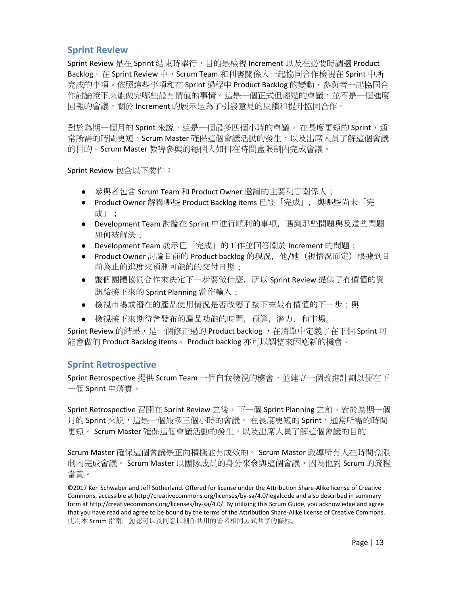#### <span id="page-12-0"></span>**Sprint Review**

Sprint Review 是在 Sprint 結束時舉行,目的是檢視 Increment 以及在必要時調適 Product Backlog。在 Sprint Review 中, Scrum Team 和利害關係人一起協同合作檢視在 Sprint 中所 完成的事項。依照這些事項和在 Sprint 過程中 Product Backlog 的變動,參與者一起協同合 作討論接下來能做完哪些最有價值的事情。這是一個正式但輕鬆的會議,並不是一個進度 回報的會議,關於 Increment 的展示是為了引發意見的反饋和提升協同合作。

對於為期一個月的 Sprint 來説,這是一個最多四個小時的會議。 在長度更短的 Sprint,通 常所需的時間更短。Scrum Master 確保這個會議活動的發生,以及出席人員了解這個會議 的目的。Scrum Master 教導參與的每個人如何在時間盒限制內完成會議。

Sprint Review 包含以下要件:

- 参與者包含 Scrum Team 和 Product Owner 邀請的主要利害關係人;
- Product Owner 解釋哪些 Product Backlog items 已經「完成」,與哪些尚未「完 成」;
- Development Team 討論在 Sprint 中進行順利的事項, 遇到那些問題與及這些問題 如何被解決;
- Development Team 展示已「完成」的工作並回答關於 Increment 的問題;
- Product Owner 討論目前的 Product backlog 的現況, 他/她(視情況而定)根據到目 前為止的進度來預測可能的的交付日期;
- 整個團體協同合作來決定下一步要做什麼,所以 Sprint Review 提供了有價值的資 訊給接下來的 Sprint Planning 當作輸入;
- 檢視市場或潛在的產品使用情況是否改變了接下來最有價值的下一步;與
- 檢視接下來期待會發布的產品功能的時間,預算,潛力,和市場。

Sprint Review 的結果,是一個修正過的 Product backlog, 在清單中定義了在下個 Sprint 可 能會做的 Product Backlog items。 Product backlog 亦可以調整來因應新的機會。

#### <span id="page-12-1"></span>**Sprint Retrospective**

Sprint Retrospective 提供 Scrum Team 一個自我檢視的機會,並建立一個改進計劃以便在下 一個 Sprint 中落實。

Sprint Retrospective 召開在 Sprint Review 之後,下一個 Sprint Planning 之前。對於為期一個 月的 Sprint 來説,這是一個最多三個小時的會議。 在長度更短的 Sprint,通常所需的時間 更短。 Scrum Master 確保這個會議活動的發生,以及出席人員了解這個會議的目的

Scrum Master 確保這個會議是正向積極並有成效的。 Scrum Master 教導所有人在時間盒限 制內完成會議。 Scrum Master 以團隊成員的身分來參與這個會議,因為他對 Scrum 的流程 當責。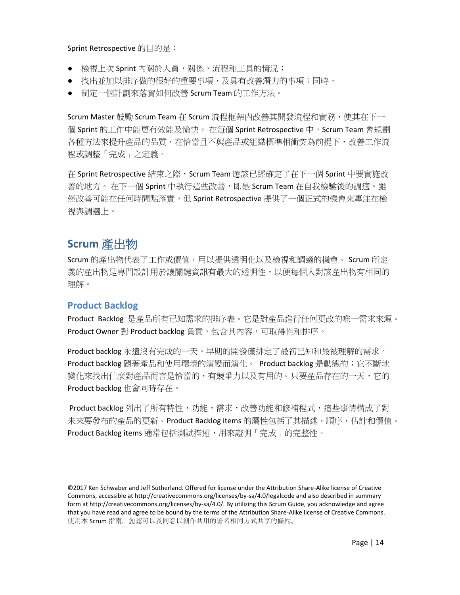Sprint Retrospective 的目的是:

- 檢視上次 Sprint 內關於人員,關係,流程和工具的情況;
- 找出並加以排序做的很好的重要事項,及具有改善潛力的事項;同時,
- 制定一個計劃來落實如何改善 Scrum Team 的工作方法。

Scrum Master 鼓勵 Scrum Team 在 Scrum 流程框架內改善其開發流程和實務,使其在下一 個 Sprint 的工作中能更有效能及愉快。 在每個 Sprint Retrospective 中,Scrum Team 會規劃 各種方法來提升產品的品質,在恰當且不與產品或組織標準相衝突為前提下,改善工作流 程或調整「完成」之定義。

在 Sprint Retrospective 結束之際, Scrum Team 應該已經確定了在下一個 Sprint 中要實施改 善的地方。 在下一個 Sprint 中執行這些改善,即是 Scrum Team 在自我檢驗後的調適。雖 然改善可能在任何時間點落實,但 Sprint Retrospective 提供了一個正式的機會來專注在檢 視與調適上。

# <span id="page-13-0"></span>**Scrum** 產出物

Scrum 的產出物代表了工作或價值,用以提供诱明化以及檢視和調滴的機會。 Scrum 所定 義的產出物是專門設計用於讓關鍵資訊有最大的透明性,以便每個人對該產出物有相同的 理解。

#### <span id="page-13-1"></span>**Product Backlog**

Product Backlog 是產品所有已知需求的排序表。它是對產品進行任何更改的唯一需求來源。 Product Owner 對 Product backlog 負責, 包含其内容,可取得性和排序。

Product backlog 永遠沒有完成的一天。早期的開發僅排定了最初已知和最被理解的需求。 Product backlog 隨著產品和使用環境的演變而演化。 Product backlog 是動態的;它不斷地 變化來找出什麼對產品而言是恰當的,有競爭力以及有用的。只要產品存在的一天,它的 Product backlog 也會同時存在。

Product backlog 列出了所有特性,功能,需求,改善功能和修補程式,這些事情構成了對 未來要發布的產品的更新。Product Backlog items 的屬性包括了其描述,順序,估計和價值。 Product Backlog items 通常包括測試描述,用來證明「完成」的完整性。

<sup>©2017</sup> Ken Schwaber and Jeff Sutherland. Offered for license under the Attribution Share-Alike license of Creative Commons, accessible at http://creativecommons.org/licenses/by-sa/4.0/legalcode and also described in summary form at http://creativecommons.org/licenses/by-sa/4.0/. By utilizing this Scrum Guide, you acknowledge and agree that you have read and agree to be bound by the terms of the Attribution Share-Alike license of Creative Commons. 使用本 Scrum 指南, 您認可以及同意以創作共用的署名相同方式共享的條約。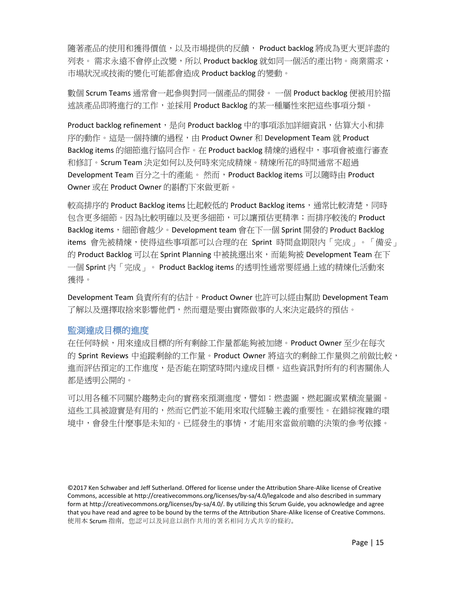隨著產品的使用和獲得價值,以及市場提供的反饋, Product backlog 將成為更大更詳盡的 列表。 需求永遠不會停止改變,所以 Product backlog 就如同一個活的產出物。商業需求, 市場狀況或技術的變化可能都會造成 Product backlog 的變動。

數個 Scrum Teams 通常會一起參與對同一個產品的開發。 一個 Product backlog 便被用於描 述該產品即將進行的工作,並採用 Product Backlog 的某一種屬性來把這些事項分類。

Product backlog refinement,是向 Product backlog 中的事項添加詳細資訊,估算大小和排 序的動作。這是一個持續的過程,由 Product Owner 和 Development Team 就 Product Backlog items 的細節進行協同合作。在 Product backlog 精煉的過程中,事項會被進行審查 和修訂。Scrum Team 決定如何以及何時來完成精煉。精煉所花的時間通常不超過 Development Team 百分之十的產能。 然而, Product Backlog items 可以隨時由 Product Owner 或在 Product Owner 的斟酌下來做更新。

較高排序的 Product Backlog items 比起較低的 Product Backlog items, 通常比較清楚,同時 包含更多細節。因為比較明確以及更多細節,可以讓預估更精準;而排序較後的 Product Backlog items,細節會越少。Development team 會在下一個 Sprint 開發的 Product Backlog items 會先被精煉,使得這些事項都可以合理的在 Sprint 時間盒期限內「完成」。「備妥」 的 Product Backlog 可以在 Sprint Planning 中被挑選出來,而能夠被 Development Team 在下 一個 Sprint 內「完成」。 Product Backlog items 的透明性通常要經過上述的精煉化活動來 獲得。

Development Team 負責所有的估計。Product Owner 也許可以經由幫助 Development Team 了解以及選擇取捨來影響他們,然而還是要由實際做事的人來決定最終的預估。

#### <span id="page-14-0"></span>監測達成目標的進度

在任何時候,用來達成目標的所有剩餘工作量都能夠被加總。Product Owner 至少在每次 的 Sprint Reviews 中追蹤剩餘的工作量。Product Owner 將這次的剩餘工作量與之前做比較, 進而評估預定的工作進度,是否能在期望時間內達成目標。這些資訊對所有的利害關係人 都是透明公開的。

可以用各種不同關於趨勢走向的實務來預測進度,譬如:燃盡圖,燃起圖或累積流量圖。 這些工具被證實是有用的,然而它們並不能用來取代經驗主義的重要性。在錯綜複雜的環 境中,會發生什麼事是未知的。已經發生的事情,才能用來當做前瞻的決策的參考依據。

<sup>©2017</sup> Ken Schwaber and Jeff Sutherland. Offered for license under the Attribution Share-Alike license of Creative Commons, accessible at http://creativecommons.org/licenses/by-sa/4.0/legalcode and also described in summary form at http://creativecommons.org/licenses/by-sa/4.0/. By utilizing this Scrum Guide, you acknowledge and agree that you have read and agree to be bound by the terms of the Attribution Share-Alike license of Creative Commons. 使用本 Scrum 指南, 您認可以及同意以創作共用的署名相同方式共享的條約。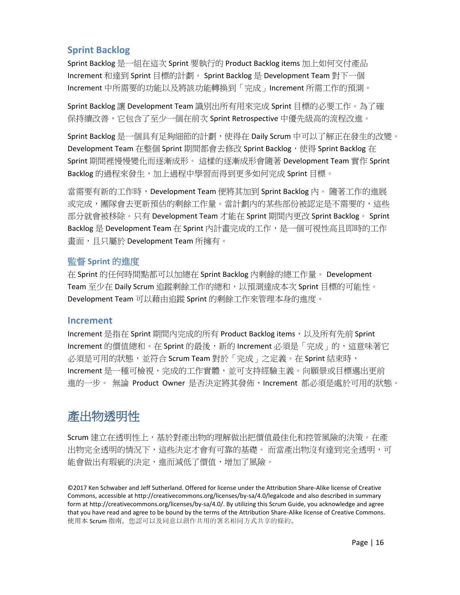#### <span id="page-15-0"></span>**Sprint Backlog**

Sprint Backlog 是一組在這次 Sprint 要執行的 Product Backlog items 加上如何交付產品 Increment 和達到 Sprint 目標的計劃。 Sprint Backlog 是 Development Team 對下一個 Increment 中所需要的功能以及將該功能轉換到「完成」Increment 所需工作的預測。

Sprint Backlog 讓 Development Team 識別出所有用來完成 Sprint 目標的必要工作。為了確 保持續改善,它包含了至少一個在前次 Sprint Retrospective 中優先級高的流程改進。

Sprint Backlog 是一個具有足夠細節的計劃,使得在 Daily Scrum 中可以了解正在發生的改變。 Development Team 在整個 Sprint 期間都會去修改 Sprint Backlog, 使得 Sprint Backlog 在 Sprint 期間裡慢慢變化而逐漸成形。 這樣的逐漸成形會隨著 Development Team 實作 Sprint Backlog 的過程來發生,加上過程中學習而得到更多如何完成 Sprint 目標。

當需要有新的工作時,Development Team 便將其加到 Sprint Backlog 內。 隨著工作的進展 或完成,團隊會去更新預估的剩餘工作量。當計劃內的某些部份被認定是不需要的,這些 部分就會被移除。只有 Development Team 才能在 Sprint 期間內更改 Sprint Backlog。 Sprint Backlog 是 Development Team 在 Sprint 內計畫完成的工作,是一個可視性高且即時的工作 書面, 日只屬於 Development Team 所擁有。

#### <span id="page-15-1"></span>監督 **Sprint** 的進度

在 Sprint 的任何時間點都可以加總在 Sprint Backlog 內剩餘的總工作量。 Development Team 至少在 Daily Scrum 追蹤剩餘工作的總和,以預測達成本次 Sprint 目標的可能性。 Development Team 可以藉由追蹤 Sprint 的剩餘工作來管理本身的進度。

#### <span id="page-15-2"></span>**Increment**

Increment 是指在 Sprint 期間內完成的所有 Product Backlog items,以及所有先前 Sprint Increment 的價值總和。在 Sprint 的最後, 新的 Increment 必須是「完成」的, 這意味著它 必須是可用的狀態,並符合 Scrum Team 對於「完成」之定義。在 Sprint 結束時, Increment 是一種可檢視,完成的工作實體,並可支持經驗主義。向願景或目標邁出更前 進的一步。 無論 Product Owner 是否決定將其發佈,Increment 都必須是處於可用的狀態。

# <span id="page-15-3"></span>產出物透明性

Scrum 建立在透明性上,基於對產出物的理解做出把價值最佳化和控管風險的決策。在產 出物完全透明的情況下,這些決定才會有可靠的基礎。 而當產出物沒有達到完全透明,可 能會做出有瑕疵的決定,進而減低了價值,增加了風險。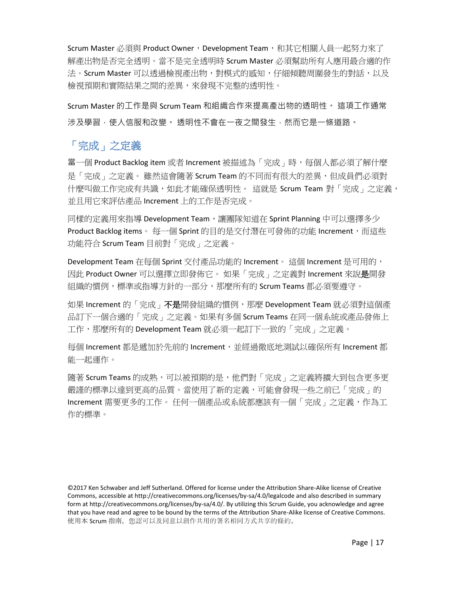Scrum Master 必須與 Product Owner,Development Team,和其它相關人員一起努力來了 解產出物是否完全透明。當不是完全透明時 Scrum Master 必須幫助所有人應用最合適的作 法。Scrum Master 可以透過檢視產出物,對模式的感知,仔細傾聽周圍發生的對話,以及 檢視預期和實際結果之間的差異,來發現不完整的透明性。

Scrum Master 的工作是與 Scrum Team 和組織合作來提高產出物的透明性。 這項工作通常 涉及學習,使人信服和改變。 透明性不會在一夜之間發生,然而它是一條道路。

## <span id="page-16-0"></span>「完成」之定義

當一個 Product Backlog item 或者 Increment 被描述為「完成」時,每個人都必須了解什麼 是「完成」之定義。 雖然這會隨著 Scrum Team 的不同而有很大的差異,但成員們必須對 什麼叫做工作完成有共識,如此才能確保透明性。 這就是 Scrum Team 對「完成」之定義, 並且用它來評估產品 Increment 上的工作是否完成。

同樣的定義用來指導 Development Team, 讓團隊知道在 Sprint Planning 中可以選擇多少 Product Backlog items。 每一個 Sprint 的目的是交付潛在可發佈的功能 Increment, 而這些 功能符合 Scrum Team 目前對「完成」之定義。

Development Team 在每個 Sprint 交付產品功能的 Increment。 這個 Increment 是可用的, 因此 Product Owner 可以選擇立即發佈它。如果「完成」之定義對 Increment 來說是開發 組織的慣例,標準或指導方針的一部分,那麼所有的 Scrum Teams 都必須要遵守。

如果 Increment 的「完成」不是開發組織的慣例, 那麼 Development Team 就必須對這個產 品訂下一個合適的「完成」之定義。如果有多個 Scrum Teams 在同一個系統或產品發佈上 工作,那麼所有的 Development Team 就必須一起訂下一致的「完成」之定義。

每個 Increment 都是遞加於先前的 Increment, 並經過徹底地測試以確保所有 Increment 都 能一起運作。

隨著 Scrum Teams 的成熟,可以被預期的是,他們對「完成」之定義將擴大到包含更多更 嚴謹的標準以達到更高的品質。當使用了新的定義,可能會發現一些之前已「完成」的 Increment 需要更多的工作。 任何一個產品或系統都應該有一個「完成」之定義,作為工 作的標準。

<sup>©2017</sup> Ken Schwaber and Jeff Sutherland. Offered for license under the Attribution Share-Alike license of Creative Commons, accessible at http://creativecommons.org/licenses/by-sa/4.0/legalcode and also described in summary form at http://creativecommons.org/licenses/by-sa/4.0/. By utilizing this Scrum Guide, you acknowledge and agree that you have read and agree to be bound by the terms of the Attribution Share-Alike license of Creative Commons. 使用本 Scrum 指南, 您認可以及同意以創作共用的署名相同方式共享的條約。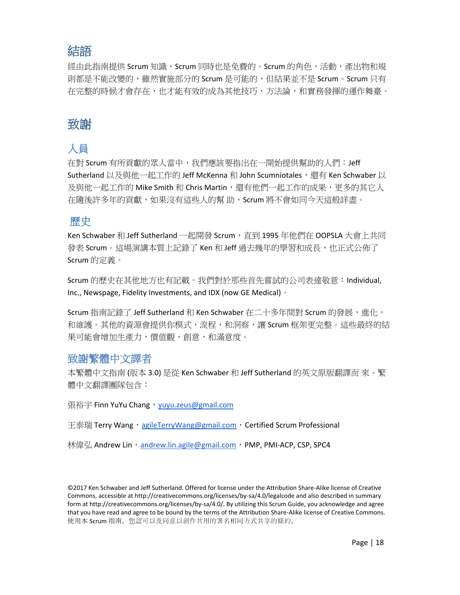# <span id="page-17-0"></span>結語

經由此指南提供 Scrum 知識,Scrum 同時也是免費的。Scrum 的角色,活動,產出物和規 則都是不能改變的,雖然實施部分的 Scrum 是可能的,但結果並不是 Scrum。Scrum 只有 在完整的時候才會存在,也才能有效的成為其他技巧,方法論,和實務發揮的運作舞臺。

# <span id="page-17-1"></span>致謝

# <span id="page-17-2"></span>人員

在對 Scrum 有所貢獻的眾人當中,我們應該要指出在一開始提供幫助的人們:Jeff Sutherland 以及與他一起工作的 Jeff McKenna 和 John Scumniotales,還有 Ken Schwaber 以 及與他一起工作的 Mike Smith 和 Chris Martin,還有他們一起工作的成果,更多的其它人 在隨後許多年的貢獻,如果沒有這些人的幫 助,Scrum 將不會如同今天這般詳盡。

## <span id="page-17-3"></span>歷史

Ken Schwaber 和 Jeff Sutherland 一起開發 Scrum, 直到 1995 年他們在 OOPSLA 大會上共同 發表 Scrum。這場演講本質上記錄了 Ken 和 Jeff 過去幾年的學習和成長,也正式公佈了 Scrum 的定義。

Scrum 的歷史在其他地方也有記載。我們對於那些首先嘗試的公司表達敬意:Individual, Inc., Newspage, Fidelity Investments, and IDX (now GE Medical) 。

Scrum 指南記錄了 Jeff Sutherland 和 Ken Schwaber 在二十多年間對 Scrum 的發展,進化, 和維護。其他的資源會提供你模式,流程,和洞察,讓 Scrum 框架更完整。這些最終的結 果可能會增加生產力,價值觀,創意,和滿意度。

#### <span id="page-17-4"></span>致謝繁體中文譯者

本繁體中文指南 (版本 3.0) 是從 Ken Schwaber 和 Jeff Sutherland 的英文原版翻譯而 來。繁 體中文翻譯團隊包含:

張裕宇 Finn YuYu Chang, [yuyu.zeus@gmail.com](mailto:yuyu.zeus@gmail.com)

王泰瑞 Terry Wang, [agileTerryWang@gmail.com](mailto:agileTerryWang@gmail.com), Certified Scrum Professional

林偉弘 Andrew Lin, [andrew.lin.agile@gmail.com](mailto:andrew.lin.agile@gmail.com), PMP, PMI-ACP, CSP, SPC4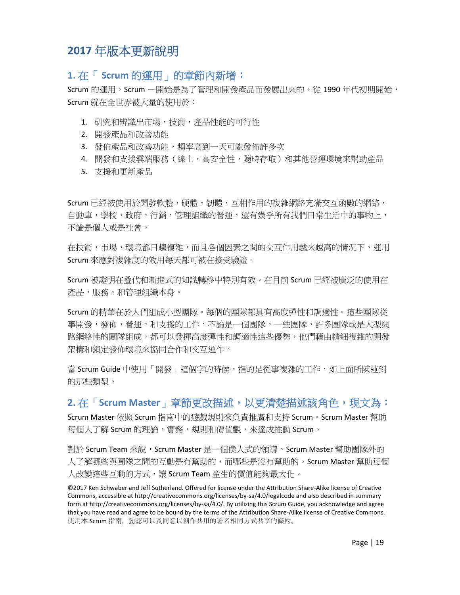# <span id="page-18-0"></span>**2017** 年版本更新說明

#### <span id="page-18-1"></span>**1.** 在「 **Scrum** 的運用」的章節內新增:

Scrum 的運用, Scrum 一開始是為了管理和開發產品而發展出來的。從 1990 年代初期開始, Scrum 就在全世界被大量的使用於:

- 1. 研究和辨識出市場,技術,產品性能的可行性
- 2. 開發產品和改善功能
- 3. 發佈產品和改善功能,頻率高到一天可能發佈許多次
- 4. 開發和支援雲端服務(線上,高安全性,隨時存取)和其他營運環境來幫助產品
- 5. 支援和更新產品

Scrum 已經被使用於開發軟體,硬體,韌體,可相作用的複雜網路充滿交互函數的網絡, 自動車,學校,政府,行銷,管理組織的營運,還有幾乎所有我們日常生活中的事物上, 不論是個人或是社會。

在技術,市場,環境都日趨複雜,而且各個因素之間的交互作用越來越高的情況下,運用 Scrum 來應對複雜度的效用每天都可被在接受驗證。

Scrum 被證明在叠代和漸進式的知識轉移中特別有效。在目前 Scrum 已經被廣泛的使用在 產品,服務,和管理組織本身。

Scrum 的精華在於人們組成小型團隊。每個的團隊都具有高度彈性和調適性。這些團隊從 事開發,發佈,營運,和支援的工作,不論是一個團隊,一些團隊,許多團隊或是大型網 路網絡性的團隊組成,都可以發揮高度彈性和調適性這些優勢,他們藉由精細複雜的開發 架構和鎖定發佈環境來協同合作和交互運作。

當 Scrum Guide 中使用「開發」這個字的時候,指的是從事複雜的工作,如上面所陳述到 的那些類型。

#### <span id="page-18-2"></span>**2.** 在「**Scrum Master**」章節更改描述,以更清楚描述該角色,現文為:

Scrum Master 依照 Scrum 指南中的遊戲規則來負責推廣和支持 Scrum。Scrum Master 幫助 每個人了解 Scrum 的理論,實務,規則和價值觀,來達成推動 Scrum。

對於 Scrum Team 來說,Scrum Master 是一個僕人式的領導。Scrum Master 幫助團隊外的 人了解哪些與團隊之間的互動是有幫助的,而哪些是沒有幫助的。Scrum Master 幫助每個 人改變這些互動的方式,讓 Scrum Team 產牛的價值能夠最大化。